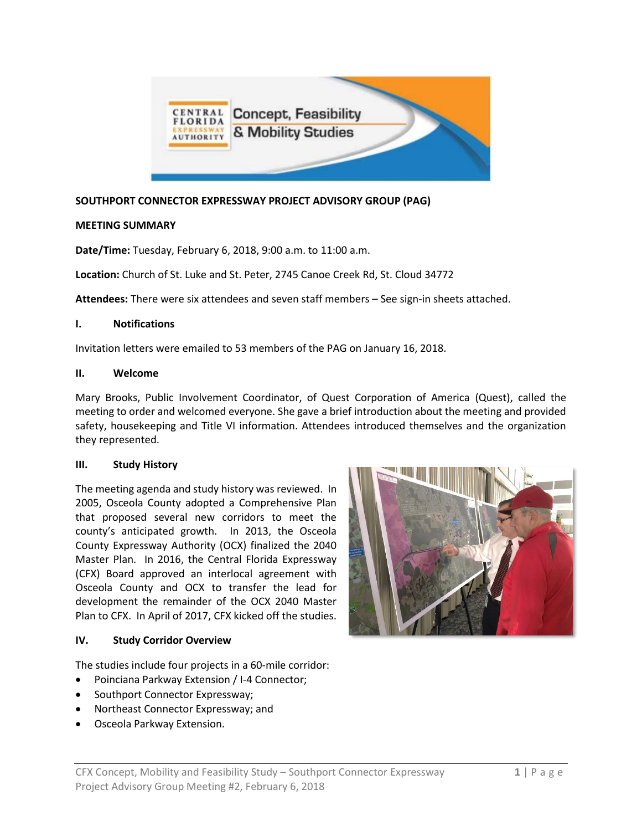

## **SOUTHPORT CONNECTOR EXPRESSWAY PROJECT ADVISORY GROUP (PAG)**

## **MEETING SUMMARY**

**Date/Time:** Tuesday, February 6, 2018, 9:00 a.m. to 11:00 a.m.

**Location:** Church of St. Luke and St. Peter, 2745 Canoe Creek Rd, St. Cloud 34772

**Attendees:** There were six attendees and seven staff members – See sign-in sheets attached.

#### **I. Notifications**

Invitation letters were emailed to 53 members of the PAG on January 16, 2018.

#### **II. Welcome**

Mary Brooks, Public Involvement Coordinator, of Quest Corporation of America (Quest), called the meeting to order and welcomed everyone. She gave a brief introduction about the meeting and provided safety, housekeeping and Title VI information. Attendees introduced themselves and the organization they represented.

## **III. Study History**

The meeting agenda and study history was reviewed. In 2005, Osceola County adopted a Comprehensive Plan that proposed several new corridors to meet the county's anticipated growth. In 2013, the Osceola County Expressway Authority (OCX) finalized the 2040 Master Plan. In 2016, the Central Florida Expressway (CFX) Board approved an interlocal agreement with Osceola County and OCX to transfer the lead for development the remainder of the OCX 2040 Master Plan to CFX. In April of 2017, CFX kicked off the studies.

## **IV. Study Corridor Overview**

The studies include four projects in a 60-mile corridor:

- Poinciana Parkway Extension / I-4 Connector;
- Southport Connector Expressway;
- Northeast Connector Expressway; and
- Osceola Parkway Extension.

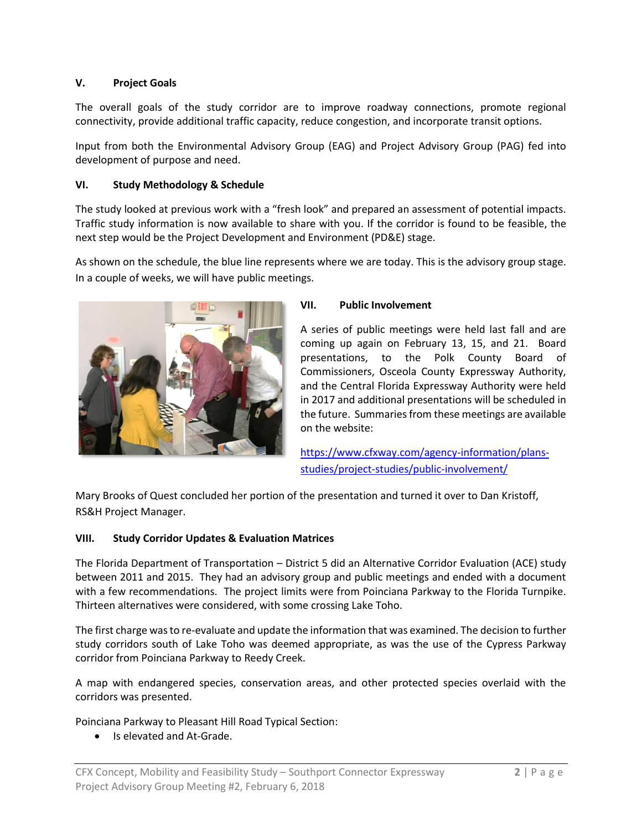# **V. Project Goals**

The overall goals of the study corridor are to improve roadway connections, promote regional connectivity, provide additional traffic capacity, reduce congestion, and incorporate transit options.

Input from both the Environmental Advisory Group (EAG) and Project Advisory Group (PAG) fed into development of purpose and need.

## **VI. Study Methodology & Schedule**

The study looked at previous work with a "fresh look" and prepared an assessment of potential impacts. Traffic study information is now available to share with you. If the corridor is found to be feasible, the next step would be the Project Development and Environment (PD&E) stage.

As shown on the schedule, the blue line represents where we are today. This is the advisory group stage. In a couple of weeks, we will have public meetings.



#### **VII. Public Involvement**

A series of public meetings were held last fall and are coming up again on February 13, 15, and 21. Board presentations, to the Polk County Board of Commissioners, Osceola County Expressway Authority, and the Central Florida Expressway Authority were held in 2017 and additional presentations will be scheduled in the future. Summaries from these meetings are available on the website:

[https://www.cfxway.com/agency-information/plans](https://www.cfxway.com/agency-information/plans-studies/project-studies/public-involvement/)[studies/project-studies/public-involvement/](https://www.cfxway.com/agency-information/plans-studies/project-studies/public-involvement/)

Mary Brooks of Quest concluded her portion of the presentation and turned it over to Dan Kristoff, RS&H Project Manager.

## **VIII. Study Corridor Updates & Evaluation Matrices**

The Florida Department of Transportation – District 5 did an Alternative Corridor Evaluation (ACE) study between 2011 and 2015. They had an advisory group and public meetings and ended with a document with a few recommendations. The project limits were from Poinciana Parkway to the Florida Turnpike. Thirteen alternatives were considered, with some crossing Lake Toho.

The first charge was to re-evaluate and update the information that was examined. The decision to further study corridors south of Lake Toho was deemed appropriate, as was the use of the Cypress Parkway corridor from Poinciana Parkway to Reedy Creek.

A map with endangered species, conservation areas, and other protected species overlaid with the corridors was presented.

Poinciana Parkway to Pleasant Hill Road Typical Section:

• Is elevated and At-Grade.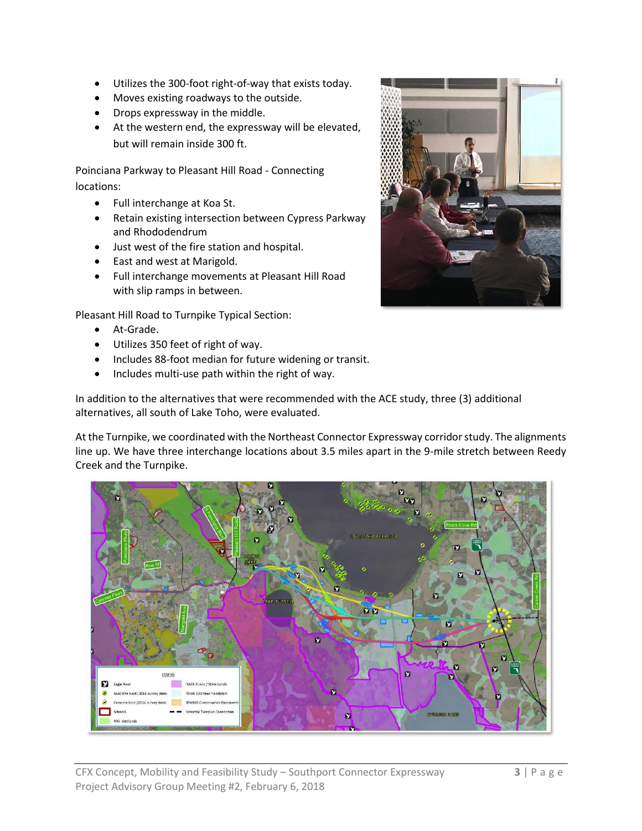- Utilizes the 300-foot right-of-way that exists today.
- Moves existing roadways to the outside.
- Drops expressway in the middle.
- At the western end, the expressway will be elevated, but will remain inside 300 ft.

Poinciana Parkway to Pleasant Hill Road - Connecting locations:

- Full interchange at Koa St.
- Retain existing intersection between Cypress Parkway and Rhododendrum
- Just west of the fire station and hospital.
- East and west at Marigold.
- Full interchange movements at Pleasant Hill Road with slip ramps in between.

Pleasant Hill Road to Turnpike Typical Section:

- At-Grade.
- Utilizes 350 feet of right of way.
- Includes 88-foot median for future widening or transit.
- Includes multi-use path within the right of way.

In addition to the alternatives that were recommended with the ACE study, three (3) additional alternatives, all south of Lake Toho, were evaluated.

At the Turnpike, we coordinated with the Northeast Connector Expressway corridor study. The alignments line up. We have three interchange locations about 3.5 miles apart in the 9-mile stretch between Reedy Creek and the Turnpike.



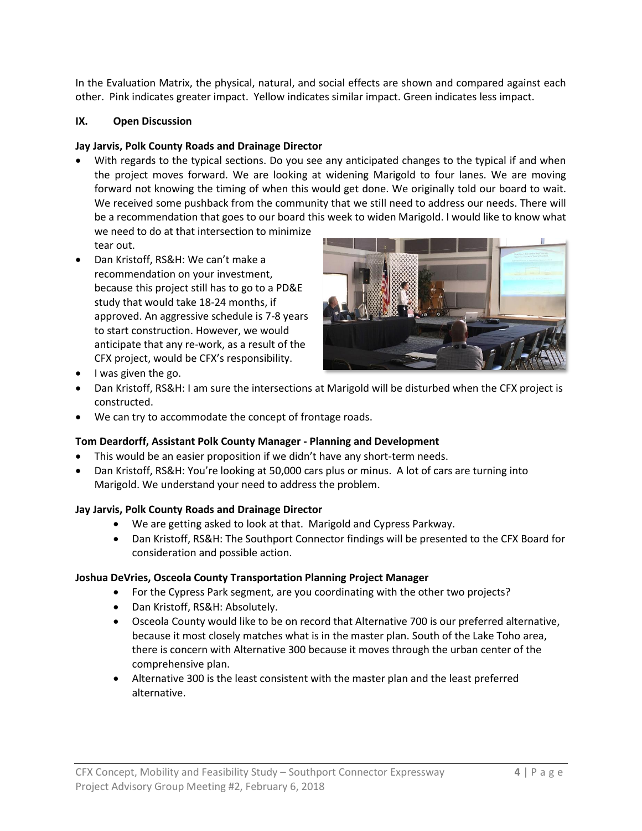In the Evaluation Matrix, the physical, natural, and social effects are shown and compared against each other. Pink indicates greater impact. Yellow indicates similar impact. Green indicates less impact.

## **IX. Open Discussion**

## **Jay Jarvis, Polk County Roads and Drainage Director**

• With regards to the typical sections. Do you see any anticipated changes to the typical if and when the project moves forward. We are looking at widening Marigold to four lanes. We are moving forward not knowing the timing of when this would get done. We originally told our board to wait. We received some pushback from the community that we still need to address our needs. There will be a recommendation that goes to our board this week to widen Marigold. I would like to know what

we need to do at that intersection to minimize tear out.

• Dan Kristoff, RS&H: We can't make a recommendation on your investment, because this project still has to go to a PD&E study that would take 18-24 months, if approved. An aggressive schedule is 7-8 years to start construction. However, we would anticipate that any re-work, as a result of the CFX project, would be CFX's responsibility.



- I was given the go.
- Dan Kristoff, RS&H: I am sure the intersections at Marigold will be disturbed when the CFX project is constructed.
- We can try to accommodate the concept of frontage roads.

# **Tom Deardorff, Assistant Polk County Manager - Planning and Development**

- This would be an easier proposition if we didn't have any short-term needs.
- Dan Kristoff, RS&H: You're looking at 50,000 cars plus or minus. A lot of cars are turning into Marigold. We understand your need to address the problem.

# **Jay Jarvis, Polk County Roads and Drainage Director**

- We are getting asked to look at that. Marigold and Cypress Parkway.
- Dan Kristoff, RS&H: The Southport Connector findings will be presented to the CFX Board for consideration and possible action.

## **Joshua DeVries, Osceola County Transportation Planning Project Manager**

- For the Cypress Park segment, are you coordinating with the other two projects?
- Dan Kristoff, RS&H: Absolutely.
- Osceola County would like to be on record that Alternative 700 is our preferred alternative, because it most closely matches what is in the master plan. South of the Lake Toho area, there is concern with Alternative 300 because it moves through the urban center of the comprehensive plan.
- Alternative 300 is the least consistent with the master plan and the least preferred alternative.